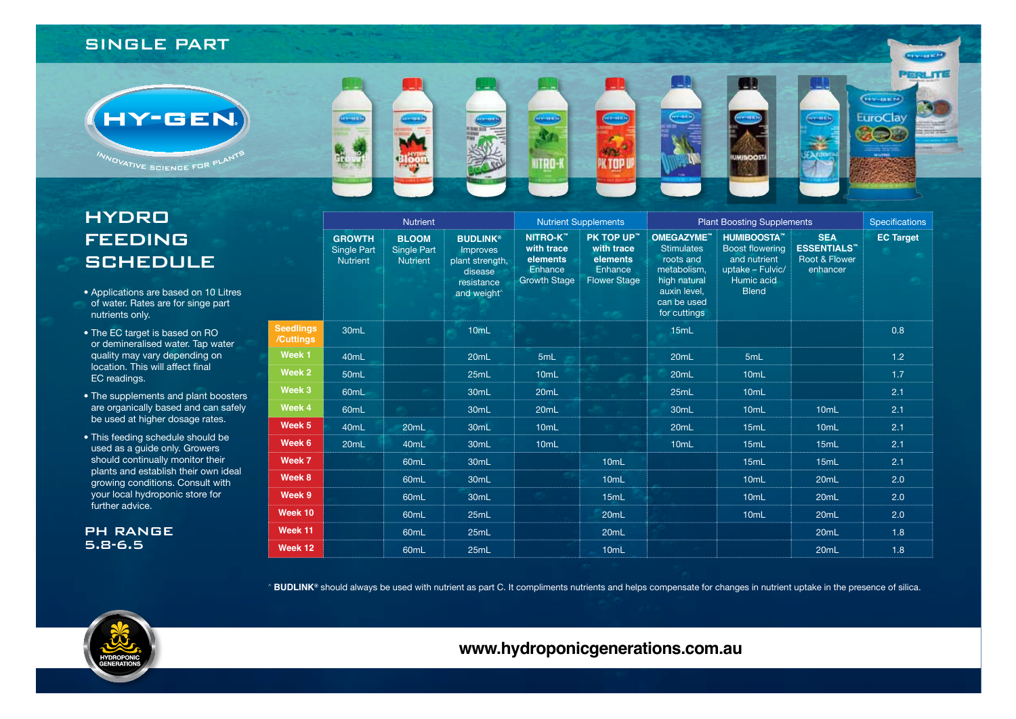## **SINGLE PART**



# **HYDRO FEEDING SCHEDULE**

- Applications are based on 10 Litres of water. Rates are for singe part nutrients only.
- The EC target is based on RO or demineralised water. Tap water quality may vary depending on location. This will affect final EC readings.
- The supplements and plant boosters are organically based and can safely be used at higher dosage rates.
- This feeding schedule should be used as a quide only. Growers should continually monitor their plants and establish their own ideal growing conditions. Consult with your local hydroponic store for further advice.

**PH RANGE**  $5.8 - 6.5$ 

|                               | <b>Nutrient</b>                                        |                                                       |                                                                                                    | <b>Nutrient Supplements</b>                                                 |                                                                        | <b>Plant Boosting Supplements</b>                                                                                          |                                                                                                               |                                                                            | <b>Specifications</b> |
|-------------------------------|--------------------------------------------------------|-------------------------------------------------------|----------------------------------------------------------------------------------------------------|-----------------------------------------------------------------------------|------------------------------------------------------------------------|----------------------------------------------------------------------------------------------------------------------------|---------------------------------------------------------------------------------------------------------------|----------------------------------------------------------------------------|-----------------------|
|                               | <b>GROWTH</b><br><b>Single Part</b><br><b>Nutrient</b> | <b>BLOOM</b><br><b>Single Part</b><br><b>Nutrient</b> | <b>BUDLINK®</b><br>Improves<br>plant strength,<br>disease<br>resistance<br>and weight <sup>^</sup> | <b>NITRO-K™</b><br>with trace<br>elements<br>Enhance<br><b>Growth Stage</b> | PK TOP UP™<br>with trace<br>elements<br>Enhance<br><b>Flower Stage</b> | OMEGAZYME"<br><b>Stimulates</b><br>roots and<br>metabolism,<br>high natural<br>auxin level.<br>can be used<br>for cuttings | <b>HUMIBOOSTA</b><br><b>Boost flowering</b><br>and nutrient<br>uptake - Fulvic/<br>Humic acid<br><b>Blend</b> | <b>SEA</b><br><b>ESSENTIALS</b> <sup>**</sup><br>Root & Flower<br>enhancer | <b>EC Target</b>      |
| <b>Seedlings</b><br>/Cuttings | 30 <sub>mL</sub>                                       |                                                       | 10 <sub>mL</sub>                                                                                   |                                                                             |                                                                        | 15mL                                                                                                                       |                                                                                                               |                                                                            | 0.8                   |
| Week 1                        | 40 <sub>mL</sub>                                       |                                                       | 20 <sub>mL</sub>                                                                                   | 5mL                                                                         |                                                                        | 20 <sub>mL</sub>                                                                                                           | 5mL                                                                                                           |                                                                            | 1.2                   |
| Week 2                        | 50 <sub>mL</sub>                                       |                                                       | 25mL                                                                                               | 10 <sub>mL</sub>                                                            |                                                                        | 20 <sub>mL</sub>                                                                                                           | 10 <sub>mL</sub>                                                                                              |                                                                            | 1.7                   |
| Week 3                        | 60 <sub>mL</sub>                                       |                                                       | 30 <sub>mL</sub>                                                                                   | 20 <sub>mL</sub>                                                            |                                                                        | 25mL                                                                                                                       | 10 <sub>mL</sub>                                                                                              |                                                                            | 2.1                   |
| Week 4                        | 60mL                                                   |                                                       | 30 <sub>mL</sub>                                                                                   | 20mL                                                                        |                                                                        | 30 <sub>mL</sub>                                                                                                           | 10mL                                                                                                          | 10mL                                                                       | 2.1                   |
| Week 5                        | 40mL                                                   | 20mL                                                  | 30mL                                                                                               | 10 <sub>mL</sub>                                                            |                                                                        | 20mL                                                                                                                       | 15mL                                                                                                          | 10 <sub>mL</sub>                                                           | 2.1                   |
| Week 6                        | 20 <sub>mL</sub>                                       | 40 <sub>mL</sub>                                      | 30 <sub>mL</sub>                                                                                   | 10 <sub>mL</sub>                                                            |                                                                        | 10 <sub>mL</sub>                                                                                                           | 15mL                                                                                                          | 15mL                                                                       | 2.1                   |
| Week 7                        |                                                        | 60mL                                                  | 30mL                                                                                               |                                                                             | 10 <sub>mL</sub>                                                       |                                                                                                                            | 15mL                                                                                                          | 15mL                                                                       | 2.1                   |
| Week 8                        |                                                        | 60 <sub>mL</sub>                                      | 30 <sub>mL</sub>                                                                                   |                                                                             | 10mL                                                                   |                                                                                                                            | 10 <sub>mL</sub>                                                                                              | 20 <sub>mL</sub>                                                           | 2.0                   |
| Week 9                        |                                                        | 60 <sub>mL</sub>                                      | 30 <sub>mL</sub>                                                                                   |                                                                             | 15mL                                                                   |                                                                                                                            | 10 <sub>mL</sub>                                                                                              | 20 <sub>mL</sub>                                                           | 2.0                   |
| Week 10                       |                                                        | 60 <sub>mL</sub>                                      | 25mL                                                                                               |                                                                             | 20 <sub>mL</sub>                                                       |                                                                                                                            | 10 <sub>mL</sub>                                                                                              | 20mL                                                                       | 2.0                   |
| Week 11                       |                                                        | 60 <sub>mL</sub>                                      | 25mL                                                                                               |                                                                             | 20mL                                                                   |                                                                                                                            |                                                                                                               | 20 <sub>mL</sub>                                                           | 1.8                   |
| Week 12                       |                                                        | 60 <sub>mL</sub>                                      | 25mL                                                                                               |                                                                             | 10 <sub>mL</sub>                                                       |                                                                                                                            |                                                                                                               | 20mL                                                                       | 1.8                   |

**PERLITE** 

<sup>6</sup> BUDLINK® should always be used with nutrient as part C. It compliments nutrients and helps compensate for changes in nutrient uptake in the presence of silica.



www.hydroponicgenerations.com.au